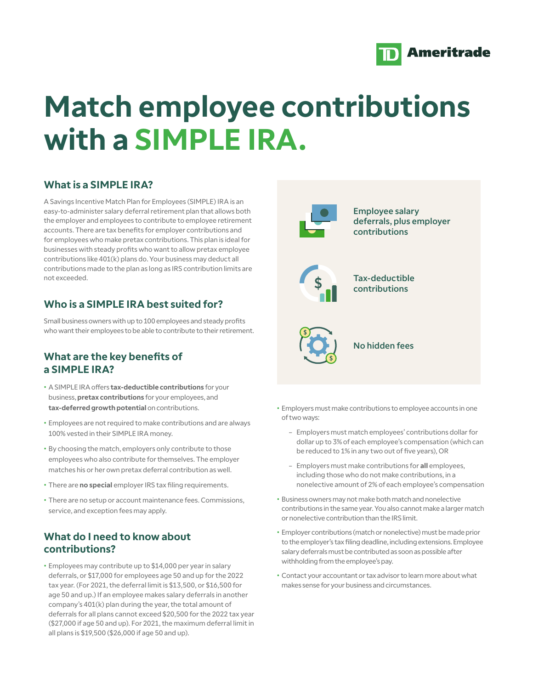

# **Match employee contributions with a SIMPLE IRA.**

# **What is a SIMPLE IRA?**

A Savings Incentive Match Plan for Employees (SIMPLE) IRA is an easy-to-administer salary deferral retirement plan that allows both the employer and employees to contribute to employee retirement accounts. There are tax benefits for employer contributions and for employees who make pretax contributions. This plan is ideal for businesses with steady profits who want to allow pretax employee contributions like 401(k) plans do. Your business may deduct all contributions made to the plan as long as IRS contribution limits are not exceeded.

## **Who is a SIMPLE IRA best suited for?**

Small business owners with up to 100 employees and steady profits who want their employees to be able to contribute to their retirement.

#### **What are the key benefits of a SIMPLE IRA?**

- A SIMPLE IRA offers **tax-deductible contributions** for your business, **pretax contributions** for your employees, and **tax-deferred growth potential** on contributions.
- Employees are not required to make contributions and are always 100% vested in their SIMPLE IRA money.
- By choosing the match, employers only contribute to those employees who also contribute for themselves. The employer matches his or her own pretax deferral contribution as well.
- There are **no special** employer IRS tax filing requirements.
- There are no setup or account maintenance fees. Commissions, service, and exception fees may apply.

## **What do I need to know about contributions?**

• Employees may contribute up to \$14,000 per year in salary deferrals, or \$17,000 for employees age 50 and up for the 2022 tax year. (For 2021, the deferral limit is \$13,500, or \$16,500 for age 50 and up.) If an employee makes salary deferrals in another company's 401(k) plan during the year, the total amount of deferrals for all plans cannot exceed \$20,500 for the 2022 tax year (\$27,000 if age 50 and up). For 2021, the maximum deferral limit in all plans is \$19,500 (\$26,000 if age 50 and up).



Employee salary deferrals, plus employer contributions



Tax-deductible contributions



No hidden fees

- Employers must make contributions to employee accounts in one of two ways:
	- Employers must match employees' contributions dollar for dollar up to 3% of each employee's compensation (which can be reduced to 1% in any two out of five years), OR
	- Employers must make contributions for **all** employees, including those who do not make contributions, in a nonelective amount of 2% of each employee's compensation
- Business owners may not make both match and nonelective contributions in the same year. You also cannot make a larger match or nonelective contribution than the IRS limit.
- Employer contributions (match or nonelective) must be made prior to the employer's tax filing deadline, including extensions. Employee salary deferrals must be contributed as soon as possible after withholding from the employee's pay.
- Contact your accountant or tax advisor to learn more about what makes sense for your business and circumstances.